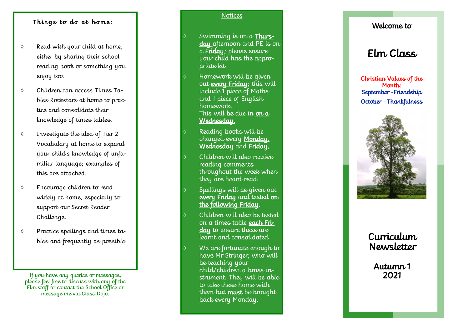## Things to do at home:

- $\Diamond$  Read with your child at home. either by sharing their school reading book or something you enjoy too.
- Children can access Times Tables Rockstars at home to practice and consolidate their knowledge of times tables.
- Investigate the idea of Tier 2 Vocabulary at home to expand your child's knowledge of unfamiliar language; examples of this are attached.
- Encourage children to read widely at home, especially to support our Secret Reader Challenge.
- Practice spellings and times tables and frequently as possible.

If you have any queries or messages, please feel free to discuss with any of the Elm staff or contact the School Office or message me via Class Dojo.

### **Notices**

- Swimming is on a **Thurs**day afternoon and PE is on a Friday; please ensure your child has the appropriate kit.
- Homework will be given out every Friday; this will include 1 piece of Maths and 1 piece of English homework. This will be due in  $\mathbf{m} \, \mathbf{a}$ Wednesday.
- Reading books will be changed every Monday, Wednesday and Friday.
- Children will also receive reading comments throughout the week when they are heard read.
- Spellings will be given out every Friday and tested on the following Friday .
- Children will also be tested on a times table each Friday to ensure these are learnt and consolidated.
- We are fortunate enough to have Mr Stringer, who will be teaching your child/children a brass instrument. They will be able to take these home with them but must be brought back every Monday.

# Welcome to

# Elm Class

Christian Values of the Month: September -Friendship October –Thankfulness



# Curriculum Newsletter

Autumn<sub>1</sub> 2021